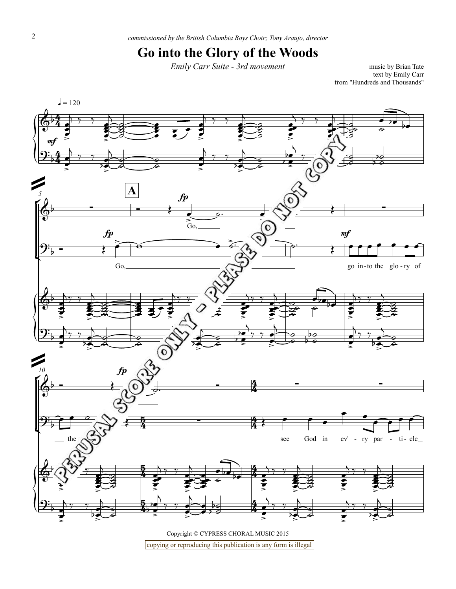## **Go into the Glory of the Woods**

*Emily Carr Suite - 3rd movement* music by Brian Tate

text by Emily Carr from "Hundreds and Thousands"



Copyright © CYPRESS CHORAL MUSIC 2015 copying or reproducing this publication is any form is illegal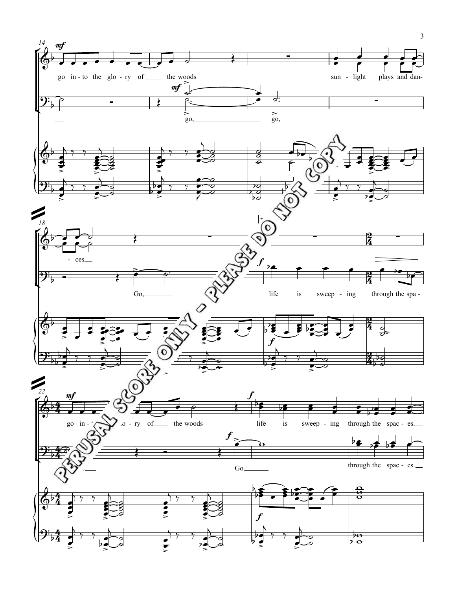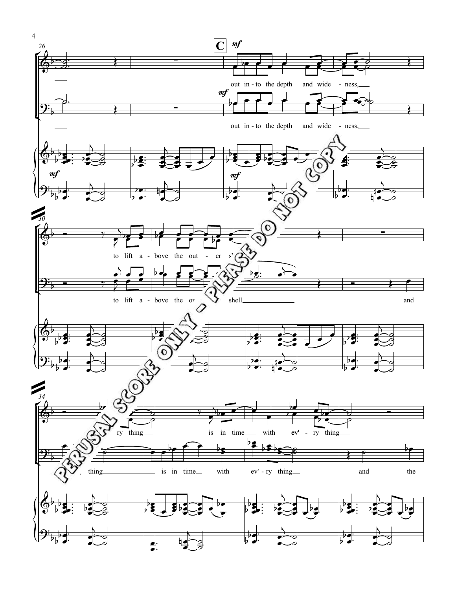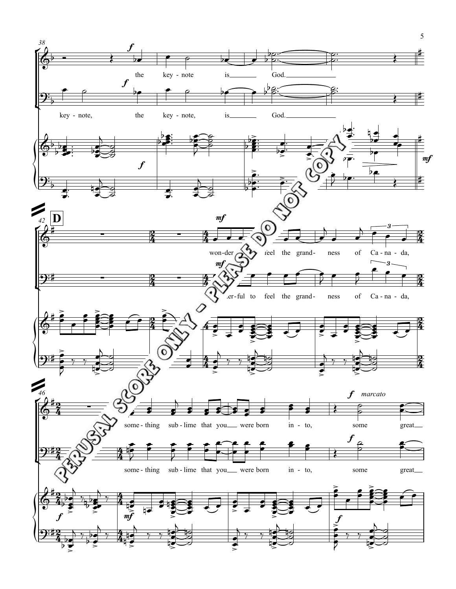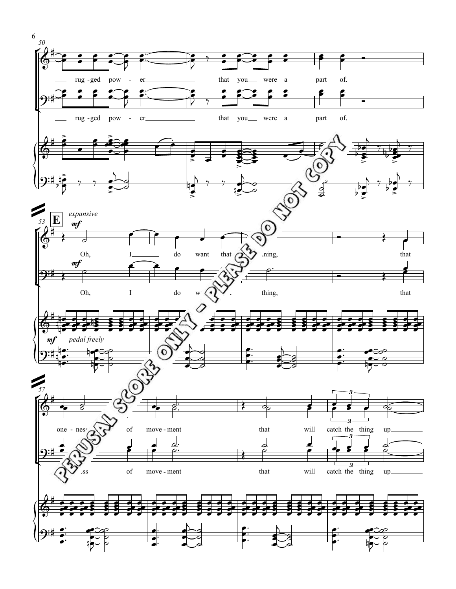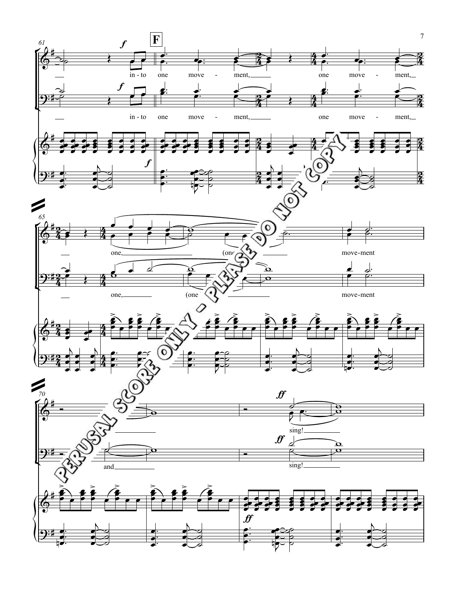